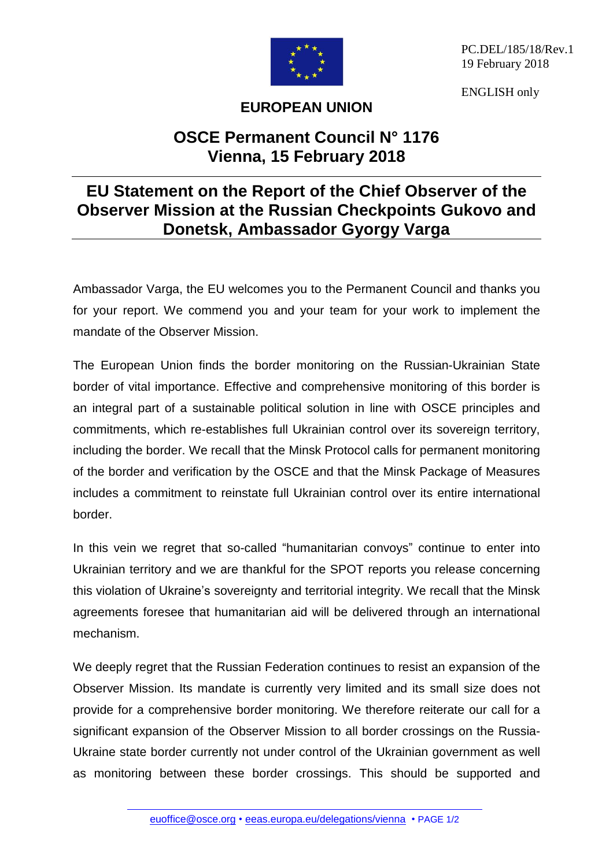

PC.DEL/185/18/Rev.1 19 February 2018

ENGLISH only

## **EUROPEAN UNION**

## **OSCE Permanent Council N° 1176 Vienna, 15 February 2018**

## **EU Statement on the Report of the Chief Observer of the Observer Mission at the Russian Checkpoints Gukovo and Donetsk, Ambassador Gyorgy Varga**

Ambassador Varga, the EU welcomes you to the Permanent Council and thanks you for your report. We commend you and your team for your work to implement the mandate of the Observer Mission.

The European Union finds the border monitoring on the Russian-Ukrainian State border of vital importance. Effective and comprehensive monitoring of this border is an integral part of a sustainable political solution in line with OSCE principles and commitments, which re-establishes full Ukrainian control over its sovereign territory, including the border. We recall that the Minsk Protocol calls for permanent monitoring of the border and verification by the OSCE and that the Minsk Package of Measures includes a commitment to reinstate full Ukrainian control over its entire international border.

In this vein we regret that so-called "humanitarian convoys" continue to enter into Ukrainian territory and we are thankful for the SPOT reports you release concerning this violation of Ukraine's sovereignty and territorial integrity. We recall that the Minsk agreements foresee that humanitarian aid will be delivered through an international mechanism.

We deeply regret that the Russian Federation continues to resist an expansion of the Observer Mission. Its mandate is currently very limited and its small size does not provide for a comprehensive border monitoring. We therefore reiterate our call for a significant expansion of the Observer Mission to all border crossings on the Russia-Ukraine state border currently not under control of the Ukrainian government as well as monitoring between these border crossings. This should be supported and